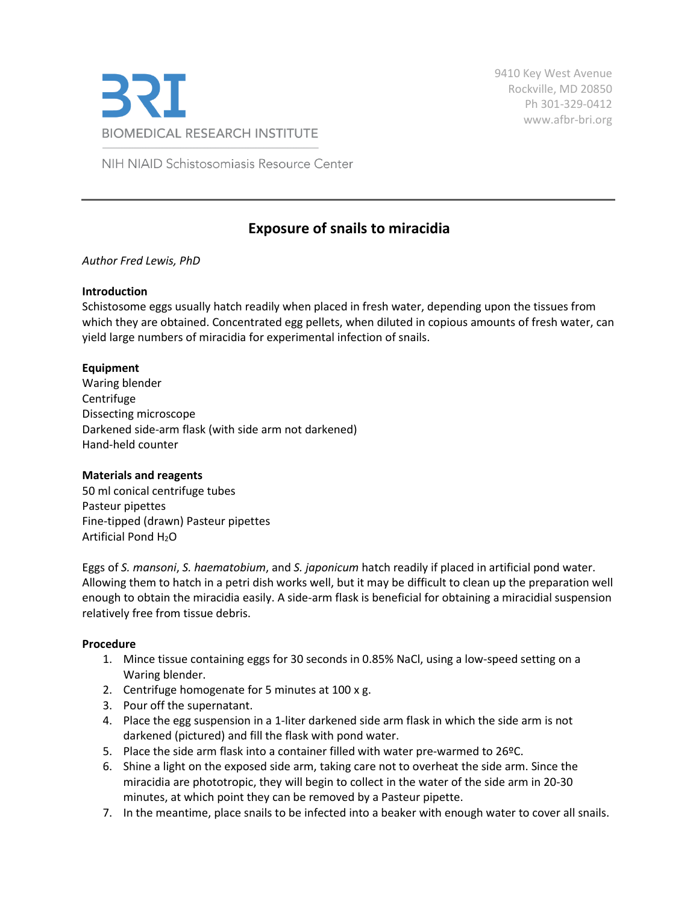

9410 Key West Avenue Rockville, MD 20850 Ph 301-329-0412 [www.afbr-bri.org](http://www.afbr-bri.org/)

NIH NIAID Schistosomiasis Resource Center

# **Exposure of snails to miracidia**

# *Author Fred Lewis, PhD*

### **Introduction**

Schistosome eggs usually hatch readily when placed in fresh water, depending upon the tissues from which they are obtained. Concentrated egg pellets, when diluted in copious amounts of fresh water, can yield large numbers of miracidia for experimental infection of snails.

### **Equipment**

Waring blender Centrifuge Dissecting microscope Darkened side-arm flask (with side arm not darkened) Hand-held counter

#### **Materials and reagents**

50 ml conical centrifuge tubes Pasteur pipettes Fine-tipped (drawn) Pasteur pipettes Artificial Pond H<sub>2</sub>O

Eggs of *S. mansoni*, *S. haematobium*, and *S. japonicum* hatch readily if placed in artificial pond water. Allowing them to hatch in a petri dish works well, but it may be difficult to clean up the preparation well enough to obtain the miracidia easily. A side-arm flask is beneficial for obtaining a miracidial suspension relatively free from tissue debris.

#### **Procedure**

- 1. Mince tissue containing eggs for 30 seconds in 0.85% NaCl, using a low-speed setting on a Waring blender.
- 2. Centrifuge homogenate for 5 minutes at 100 x g.
- 3. Pour off the supernatant.
- 4. Place the egg suspension in a 1-liter darkened side arm flask in which the side arm is not darkened (pictured) and fill the flask with pond water.
- 5. Place the side arm flask into a container filled with water pre-warmed to 26ºC.
- 6. Shine a light on the exposed side arm, taking care not to overheat the side arm. Since the miracidia are phototropic, they will begin to collect in the water of the side arm in 20-30 minutes, at which point they can be removed by a Pasteur pipette.
- 7. In the meantime, place snails to be infected into a beaker with enough water to cover all snails.